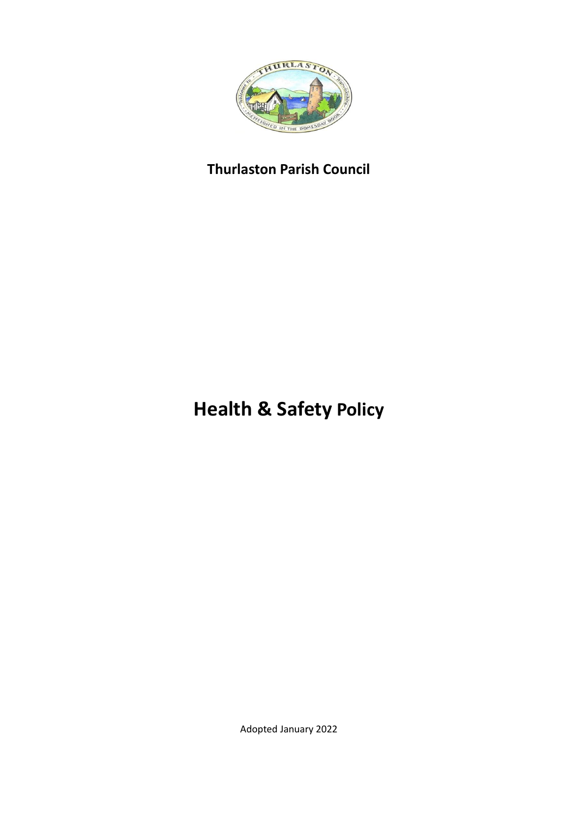

# **Thurlaston Parish Council**

# **Health & Safety Policy**

Adopted January 2022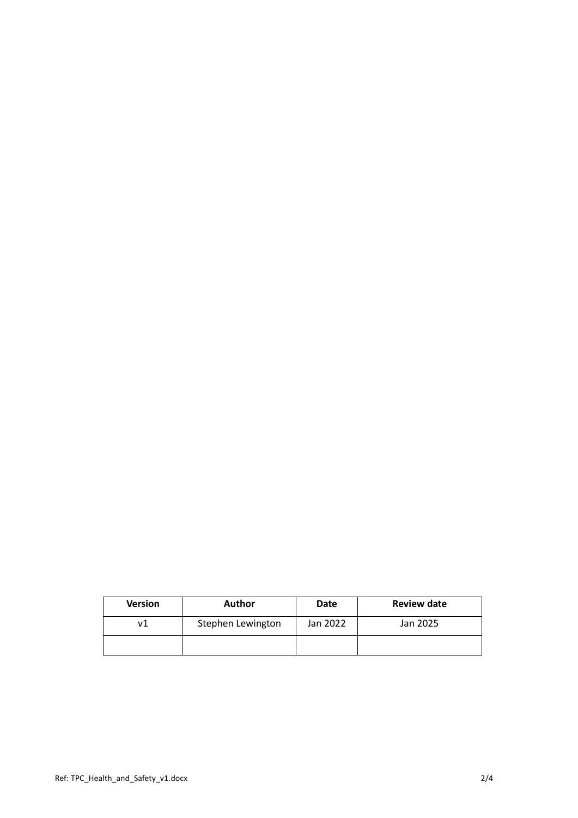| <b>Version</b> | <b>Author</b>     | <b>Date</b> | <b>Review date</b> |
|----------------|-------------------|-------------|--------------------|
|                | Stephen Lewington | Jan 2022    | Jan 2025           |
|                |                   |             |                    |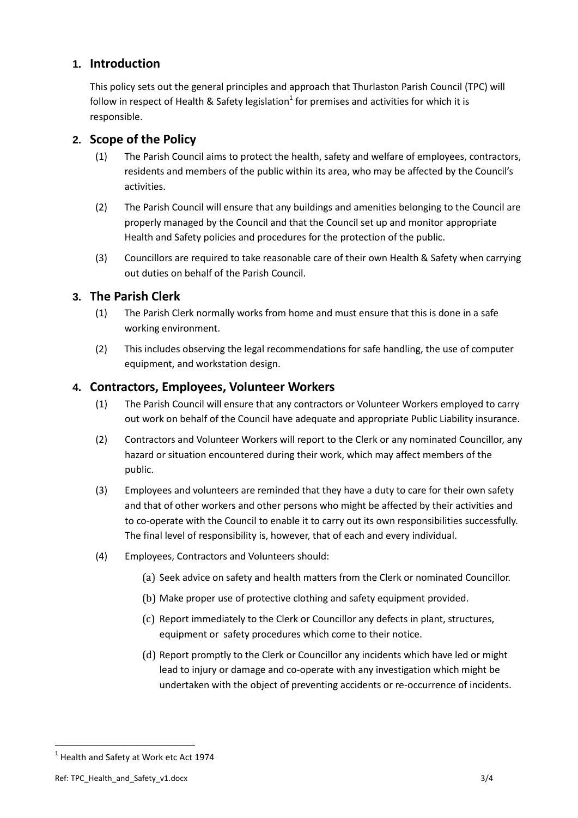#### **1. Introduction**

This policy sets out the general principles and approach that Thurlaston Parish Council (TPC) will follow in respect of Health & Safety legislation<sup>1</sup> for premises and activities for which it is responsible.

#### **2. Scope of the Policy**

- (1) The Parish Council aims to protect the health, safety and welfare of employees, contractors, residents and members of the public within its area, who may be affected by the Council's activities.
- (2) The Parish Council will ensure that any buildings and amenities belonging to the Council are properly managed by the Council and that the Council set up and monitor appropriate Health and Safety policies and procedures for the protection of the public.
- (3) Councillors are required to take reasonable care of their own Health & Safety when carrying out duties on behalf of the Parish Council.

### **3. The Parish Clerk**

- (1) The Parish Clerk normally works from home and must ensure that this is done in a safe working environment.
- (2) This includes observing the legal recommendations for safe handling, the use of computer equipment, and workstation design.

#### **4. Contractors, Employees, Volunteer Workers**

- (1) The Parish Council will ensure that any contractors or Volunteer Workers employed to carry out work on behalf of the Council have adequate and appropriate Public Liability insurance.
- (2) Contractors and Volunteer Workers will report to the Clerk or any nominated Councillor, any hazard or situation encountered during their work, which may affect members of the public.
- (3) Employees and volunteers are reminded that they have a duty to care for their own safety and that of other workers and other persons who might be affected by their activities and to co-operate with the Council to enable it to carry out its own responsibilities successfully. The final level of responsibility is, however, that of each and every individual.
- (4) Employees, Contractors and Volunteers should:
	- (a) Seek advice on safety and health matters from the Clerk or nominated Councillor.
	- (b) Make proper use of protective clothing and safety equipment provided.
	- (c) Report immediately to the Clerk or Councillor any defects in plant, structures, equipment or safety procedures which come to their notice.
	- (d) Report promptly to the Clerk or Councillor any incidents which have led or might lead to injury or damage and co-operate with any investigation which might be undertaken with the object of preventing accidents or re-occurrence of incidents.

**.** 

 $<sup>1</sup>$  Health and Safety at Work etc Act 1974</sup>